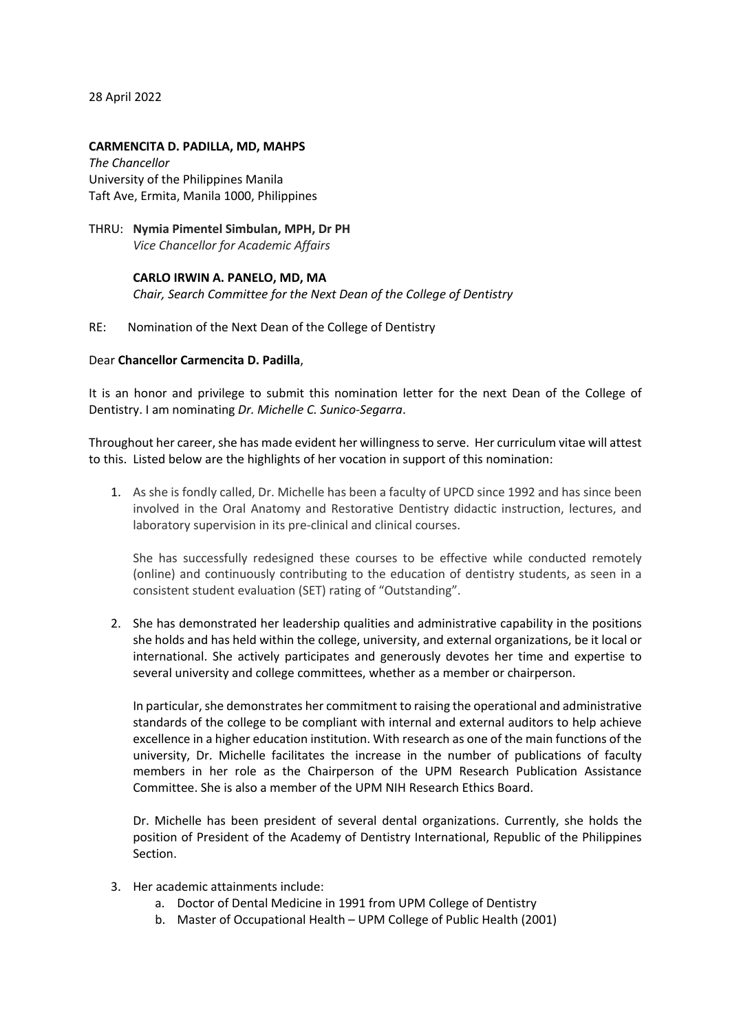28 April 2022

#### **CARMENCITA D. PADILLA, MD, MAHPS**

*The Chancellor* University of the Philippines Manila Taft Ave, Ermita, Manila 1000, Philippines

## THRU: **Nymia Pimentel Simbulan, MPH, Dr PH** *Vice Chancellor for Academic Affairs*

## **CARLO IRWIN A. PANELO, MD, MA** *Chair, Search Committee for the Next Dean of the College of Dentistry*

### RE: Nomination of the Next Dean of the College of Dentistry

### Dear **Chancellor Carmencita D. Padilla**,

It is an honor and privilege to submit this nomination letter for the next Dean of the College of Dentistry. I am nominating *Dr. Michelle C. Sunico-Segarra*.

Throughout her career, she has made evident her willingness to serve. Her curriculum vitae will attest to this. Listed below are the highlights of her vocation in support of this nomination:

1. As she is fondly called, Dr. Michelle has been a faculty of UPCD since 1992 and has since been involved in the Oral Anatomy and Restorative Dentistry didactic instruction, lectures, and laboratory supervision in its pre-clinical and clinical courses.

She has successfully redesigned these courses to be effective while conducted remotely (online) and continuously contributing to the education of dentistry students, as seen in a consistent student evaluation (SET) rating of "Outstanding".

2. She has demonstrated her leadership qualities and administrative capability in the positions she holds and has held within the college, university, and external organizations, be it local or international. She actively participates and generously devotes her time and expertise to several university and college committees, whether as a member or chairperson.

In particular, she demonstrates her commitment to raising the operational and administrative standards of the college to be compliant with internal and external auditors to help achieve excellence in a higher education institution. With research as one of the main functions of the university, Dr. Michelle facilitates the increase in the number of publications of faculty members in her role as the Chairperson of the UPM Research Publication Assistance Committee. She is also a member of the UPM NIH Research Ethics Board.

Dr. Michelle has been president of several dental organizations. Currently, she holds the position of President of the Academy of Dentistry International, Republic of the Philippines Section.

- 3. Her academic attainments include:
	- a. Doctor of Dental Medicine in 1991 from UPM College of Dentistry
	- b. Master of Occupational Health UPM College of Public Health (2001)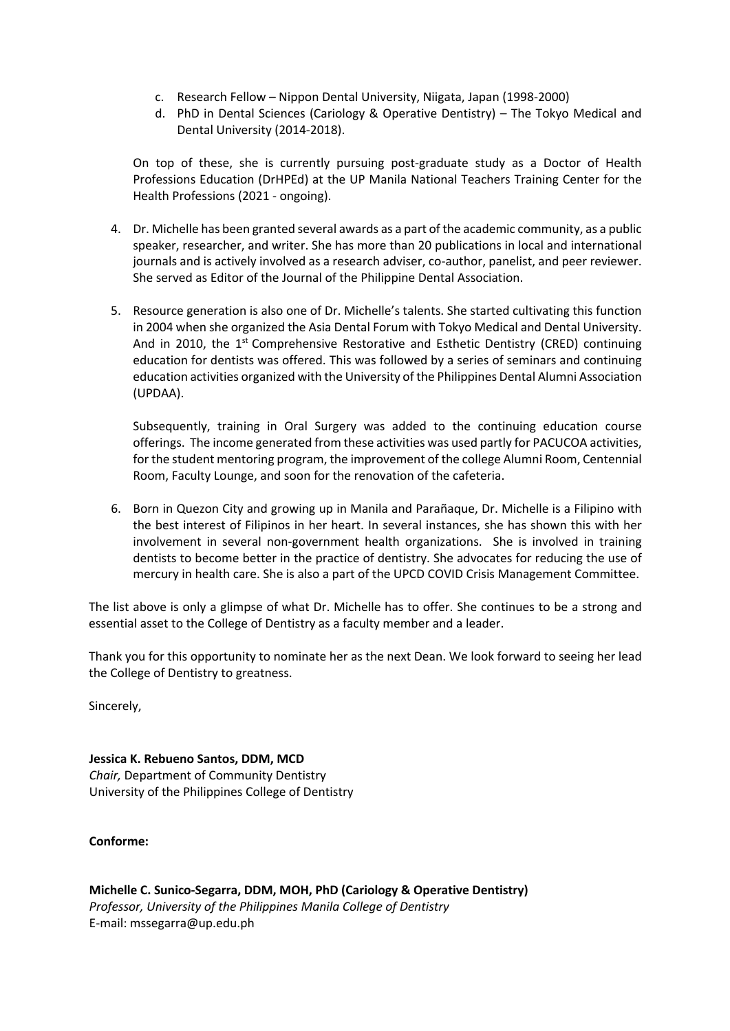- c. Research Fellow Nippon Dental University, Niigata, Japan (1998-2000)
- d. PhD in Dental Sciences (Cariology & Operative Dentistry) The Tokyo Medical and Dental University (2014-2018).

On top of these, she is currently pursuing post-graduate study as a Doctor of Health Professions Education (DrHPEd) at the UP Manila National Teachers Training Center for the Health Professions (2021 - ongoing).

- 4. Dr. Michelle has been granted several awards as a part of the academic community, as a public speaker, researcher, and writer. She has more than 20 publications in local and international journals and is actively involved as a research adviser, co-author, panelist, and peer reviewer. She served as Editor of the Journal of the Philippine Dental Association.
- 5. Resource generation is also one of Dr. Michelle's talents. She started cultivating this function in 2004 when she organized the Asia Dental Forum with Tokyo Medical and Dental University. And in 2010, the  $1<sup>st</sup>$  Comprehensive Restorative and Esthetic Dentistry (CRED) continuing education for dentists was offered. This was followed by a series of seminars and continuing education activities organized with the University of the Philippines Dental Alumni Association (UPDAA).

Subsequently, training in Oral Surgery was added to the continuing education course offerings. The income generated from these activities was used partly for PACUCOA activities, for the student mentoring program, the improvement of the college Alumni Room, Centennial Room, Faculty Lounge, and soon for the renovation of the cafeteria.

6. Born in Quezon City and growing up in Manila and Parañaque, Dr. Michelle is a Filipino with the best interest of Filipinos in her heart. In several instances, she has shown this with her involvement in several non-government health organizations. She is involved in training dentists to become better in the practice of dentistry. She advocates for reducing the use of mercury in health care. She is also a part of the UPCD COVID Crisis Management Committee.

The list above is only a glimpse of what Dr. Michelle has to offer. She continues to be a strong and essential asset to the College of Dentistry as a faculty member and a leader.

Thank you for this opportunity to nominate her as the next Dean. We look forward to seeing her lead the College of Dentistry to greatness.

Sincerely,

**Jessica K. Rebueno Santos, DDM, MCD**  *Chair,* Department of Community Dentistry University of the Philippines College of Dentistry

# **Conforme:**

**Michelle C. Sunico-Segarra, DDM, MOH, PhD (Cariology & Operative Dentistry)**  *Professor, University of the Philippines Manila College of Dentistry*  E-mail: mssegarra@up.edu.ph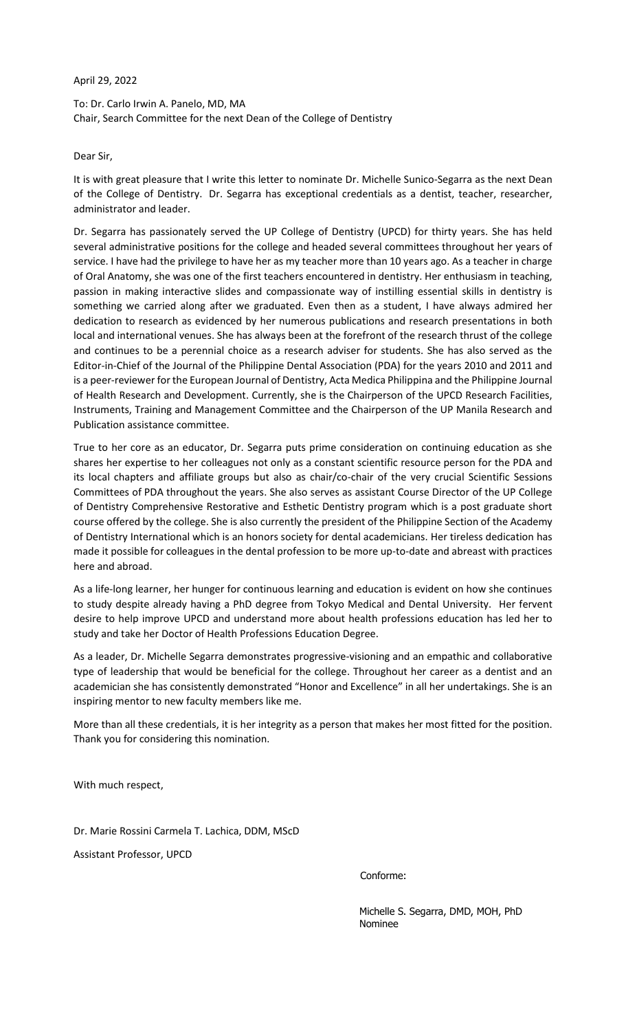April 29, 2022

To: Dr. Carlo Irwin A. Panelo, MD, MA Chair, Search Committee for the next Dean of the College of Dentistry

Dear Sir,

It is with great pleasure that I write this letter to nominate Dr. Michelle Sunico-Segarra as the next Dean of the College of Dentistry. Dr. Segarra has exceptional credentials as a dentist, teacher, researcher, administrator and leader.

Dr. Segarra has passionately served the UP College of Dentistry (UPCD) for thirty years. She has held several administrative positions for the college and headed several committees throughout her years of service. I have had the privilege to have her as my teacher more than 10 years ago. As a teacher in charge of Oral Anatomy, she was one of the first teachers encountered in dentistry. Her enthusiasm in teaching, passion in making interactive slides and compassionate way of instilling essential skills in dentistry is something we carried along after we graduated. Even then as a student, I have always admired her dedication to research as evidenced by her numerous publications and research presentations in both local and international venues. She has always been at the forefront of the research thrust of the college and continues to be a perennial choice as a research adviser for students. She has also served as the Editor-in-Chief of the Journal of the Philippine Dental Association (PDA) for the years 2010 and 2011 and is a peer-reviewer for the European Journal of Dentistry, Acta Medica Philippina and the Philippine Journal of Health Research and Development. Currently, she is the Chairperson of the UPCD Research Facilities, Instruments, Training and Management Committee and the Chairperson of the UP Manila Research and Publication assistance committee.

True to her core as an educator, Dr. Segarra puts prime consideration on continuing education as she shares her expertise to her colleagues not only as a constant scientific resource person for the PDA and its local chapters and affiliate groups but also as chair/co-chair of the very crucial Scientific Sessions Committees of PDA throughout the years. She also serves as assistant Course Director of the UP College of Dentistry Comprehensive Restorative and Esthetic Dentistry program which is a post graduate short course offered by the college. She is also currently the president of the Philippine Section of the Academy of Dentistry International which is an honors society for dental academicians. Her tireless dedication has made it possible for colleagues in the dental profession to be more up-to-date and abreast with practices here and abroad.

As a life-long learner, her hunger for continuous learning and education is evident on how she continues to study despite already having a PhD degree from Tokyo Medical and Dental University. Her fervent desire to help improve UPCD and understand more about health professions education has led her to study and take her Doctor of Health Professions Education Degree.

As a leader, Dr. Michelle Segarra demonstrates progressive-visioning and an empathic and collaborative type of leadership that would be beneficial for the college. Throughout her career as a dentist and an academician she has consistently demonstrated "Honor and Excellence" in all her undertakings. She is an inspiring mentor to new faculty members like me.

More than all these credentials, it is her integrity as a person that makes her most fitted for the position. Thank you for considering this nomination.

With much respect,

Dr. Marie Rossini Carmela T. Lachica, DDM, MScD

Assistant Professor, UPCD

Conforme:

Michelle S. Segarra, DMD, MOH, PhD Nominee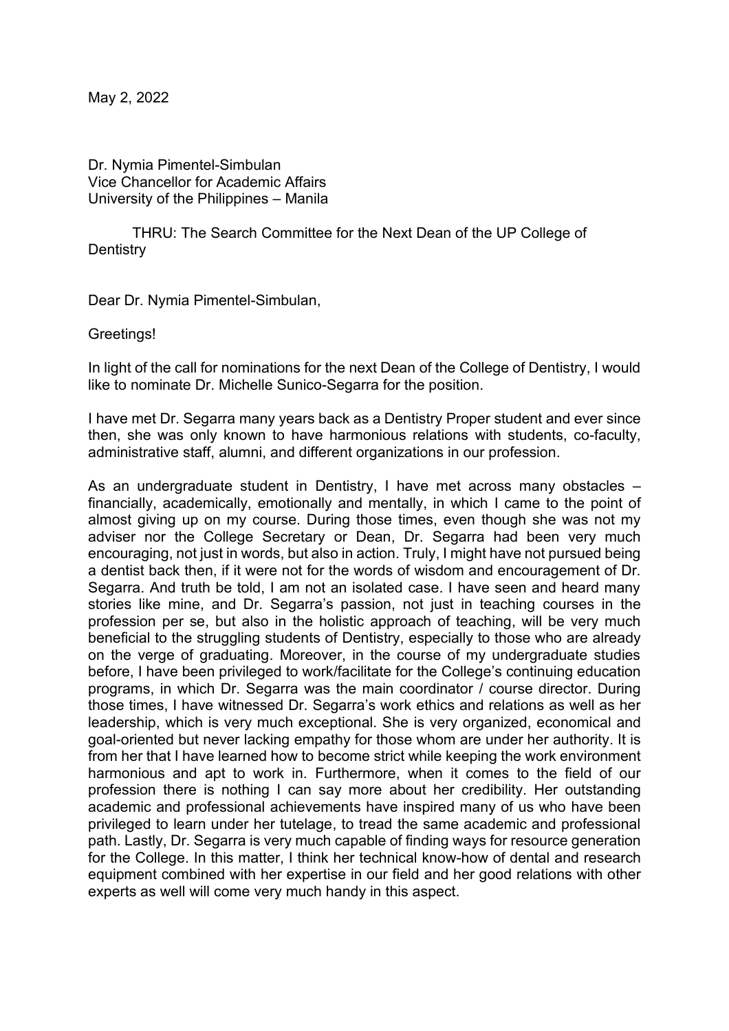May 2, 2022

Dr. Nymia Pimentel-Simbulan Vice Chancellor for Academic Affairs University of the Philippines - Manila

THRU: The Search Committee for the Next Dean of the UP College of **Dentistry** 

Dear Dr. Nymia Pimentel-Simbulan,

Greetings!

In light of the call for nominations for the next Dean of the College of Dentistry, I would like to nominate Dr. Michelle Sunico-Segarra for the position.

I have met Dr. Segarra many years back as a Dentistry Proper student and ever since then, she was only known to have harmonious relations with students, co-faculty, administrative staff, alumni, and different organizations in our profession.

As an undergraduate student in Dentistry, I have met across many obstacles  $$ financially, academically, emotionally and mentally, in which I came to the point of almost giving up on my course. During those times, even though she was not my adviser nor the College Secretary or Dean, Dr. Segarra had been very much encouraging, not just in words, but also in action. Truly, I might have not pursued being a dentist back then, if it were not for the words of wisdom and encouragement of Dr. Segarra. And truth be told, I am not an isolated case. I have seen and heard many stories like mine, and Dr. Segarra's passion, not just in teaching courses in the profession per se, but also in the holistic approach of teaching, will be very much beneficial to the struggling students of Dentistry, especially to those who are already on the verge of graduating. Moreover, in the course of my undergraduate studies before, I have been privileged to work/facilitate for the College's continuing education programs, in which Dr. Segarra was the main coordinator / course director. During those times, I have witnessed Dr. Segarra's work ethics and relations as well as her leadership, which is very much exceptional. She is very organized, economical and goal-oriented but never lacking empathy for those whom are under her authority. It is from her that I have learned how to become strict while keeping the work environment harmonious and apt to work in. Furthermore, when it comes to the field of our profession there is nothing I can say more about her credibility. Her outstanding academic and professional achievements have inspired many of us who have been privileged to learn under her tutelage, to tread the same academic and professional path. Lastly, Dr. Segarra is very much capable of finding ways for resource generation for the College. In this matter, I think her technical know-how of dental and research equipment combined with her expertise in our field and her good relations with other experts as well will come very much handy in this aspect.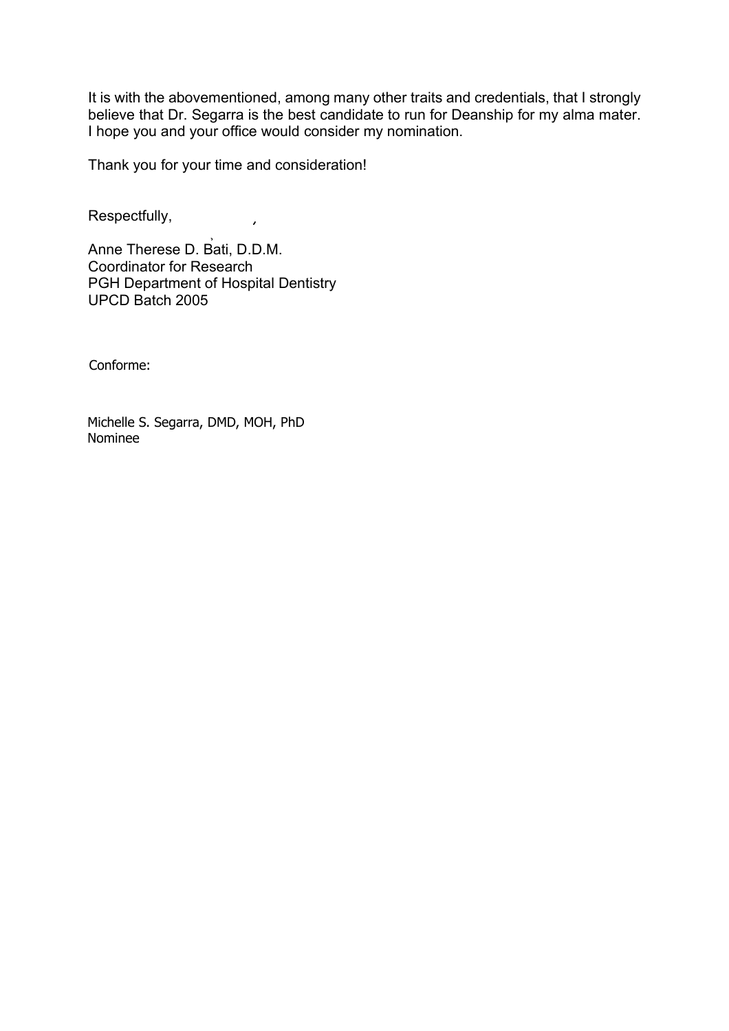It is with the abovementioned, among many other traits and credentials, that I strongly believe that Dr. Segarra is the best candidate to run for Deanship for my alma mater. I hope you and your office would consider my nomination.

Thank you for your time and consideration!

 $\mathcal{L}$ 

Respectfully,

Anne Therese D. Bati, D.D.M. Coordinator for Research PGH Department of Hospital Dentistry UPCD Batch 2005

Conforme:

Michelle S. Segarra, DMD, MOH, PhD Nominee